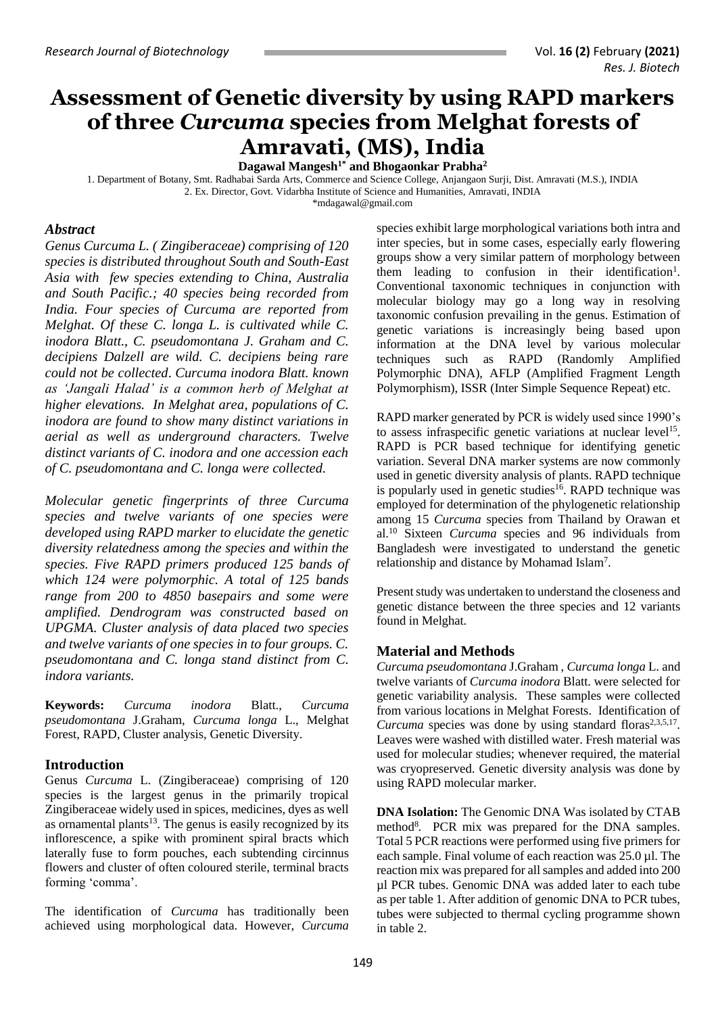# **Assessment of Genetic diversity by using RAPD markers of three** *Curcuma* **species from Melghat forests of Amravati, (MS), India**

**Dagawal Mangesh1\* and Bhogaonkar Prabha<sup>2</sup>**

1. Department of Botany, Smt. Radhabai Sarda Arts, Commerce and Science College, Anjangaon Surji, Dist. Amravati (M.S.), INDIA 2. Ex. Director, Govt. Vidarbha Institute of Science and Humanities, Amravati, INDIA

[\\*mdagawal@gmail.com](mailto:mdagawal@gmail.com)

# *Abstract*

*Genus Curcuma L. ( Zingiberaceae) comprising of 120 species is distributed throughout South and South-East Asia with few species extending to China, Australia and South Pacific.; 40 species being recorded from India. Four species of Curcuma are reported from Melghat. Of these C. longa L. is cultivated while C. inodora Blatt., C. pseudomontana J. Graham and C. decipiens Dalzell are wild. C. decipiens being rare could not be collected*. *Curcuma inodora Blatt. known as 'Jangali Halad' is a common herb of Melghat at higher elevations. In Melghat area, populations of C. inodora are found to show many distinct variations in aerial as well as underground characters. Twelve distinct variants of C. inodora and one accession each of C. pseudomontana and C. longa were collected.* 

*Molecular genetic fingerprints of three Curcuma species and twelve variants of one species were developed using RAPD marker to elucidate the genetic diversity relatedness among the species and within the species. Five RAPD primers produced 125 bands of which 124 were polymorphic. A total of 125 bands range from 200 to 4850 basepairs and some were amplified. Dendrogram was constructed based on UPGMA. Cluster analysis of data placed two species and twelve variants of one species in to four groups. C. pseudomontana and C. longa stand distinct from C. indora variants.*

**Keywords:** *Curcuma inodora* Blatt., *Curcuma pseudomontana* J.Graham, *Curcuma longa* L., Melghat Forest, RAPD, Cluster analysis, Genetic Diversity.

# **Introduction**

Genus *Curcuma* L. (Zingiberaceae) comprising of 120 species is the largest genus in the primarily tropical Zingiberaceae widely used in spices, medicines, dyes as well as ornamental plants<sup>13</sup>. The genus is easily recognized by its inflorescence, a spike with prominent spiral bracts which laterally fuse to form pouches, each subtending circinnus flowers and cluster of often coloured sterile, terminal bracts forming 'comma'.

The identification of *Curcuma* has traditionally been achieved using morphological data. However, *Curcuma* 

species exhibit large morphological variations both intra and inter species, but in some cases, especially early flowering groups show a very similar pattern of morphology between them leading to confusion in their identification<sup>1</sup>. Conventional taxonomic techniques in conjunction with molecular biology may go a long way in resolving taxonomic confusion prevailing in the genus. Estimation of genetic variations is increasingly being based upon information at the DNA level by various molecular techniques such as RAPD (Randomly Amplified Polymorphic DNA), AFLP (Amplified Fragment Length Polymorphism), ISSR (Inter Simple Sequence Repeat) etc.

RAPD marker generated by PCR is widely used since 1990's to assess infraspecific genetic variations at nuclear level<sup>15</sup>. RAPD is PCR based technique for identifying genetic variation. Several DNA marker systems are now commonly used in genetic diversity analysis of plants. RAPD technique is popularly used in genetic studies<sup>16</sup>. RAPD technique was employed for determination of the phylogenetic relationship among 15 *Curcuma* species from Thailand by Orawan et al. <sup>10</sup> Sixteen *Curcuma* species and 96 individuals from Bangladesh were investigated to understand the genetic relationship and distance by Mohamad Islam<sup>7</sup> .

Present study was undertaken to understand the closeness and genetic distance between the three species and 12 variants found in Melghat.

# **Material and Methods**

*Curcuma pseudomontana* J.Graham , *Curcuma longa* L. and twelve variants of *Curcuma inodora* Blatt. were selected for genetic variability analysis. These samples were collected from various locations in Melghat Forests. Identification of Curcuma species was done by using standard floras<sup>2,3,5,17</sup>. Leaves were washed with distilled water. Fresh material was used for molecular studies; whenever required, the material was cryopreserved. Genetic diversity analysis was done by using RAPD molecular marker.

**DNA Isolation:** The Genomic DNA Was isolated by CTAB method<sup>8</sup>. PCR mix was prepared for the DNA samples. Total 5 PCR reactions were performed using five primers for each sample. Final volume of each reaction was 25.0 µl. The reaction mix was prepared for all samples and added into 200 µl PCR tubes. Genomic DNA was added later to each tube as per table 1. After addition of genomic DNA to PCR tubes, tubes were subjected to thermal cycling programme shown in table 2.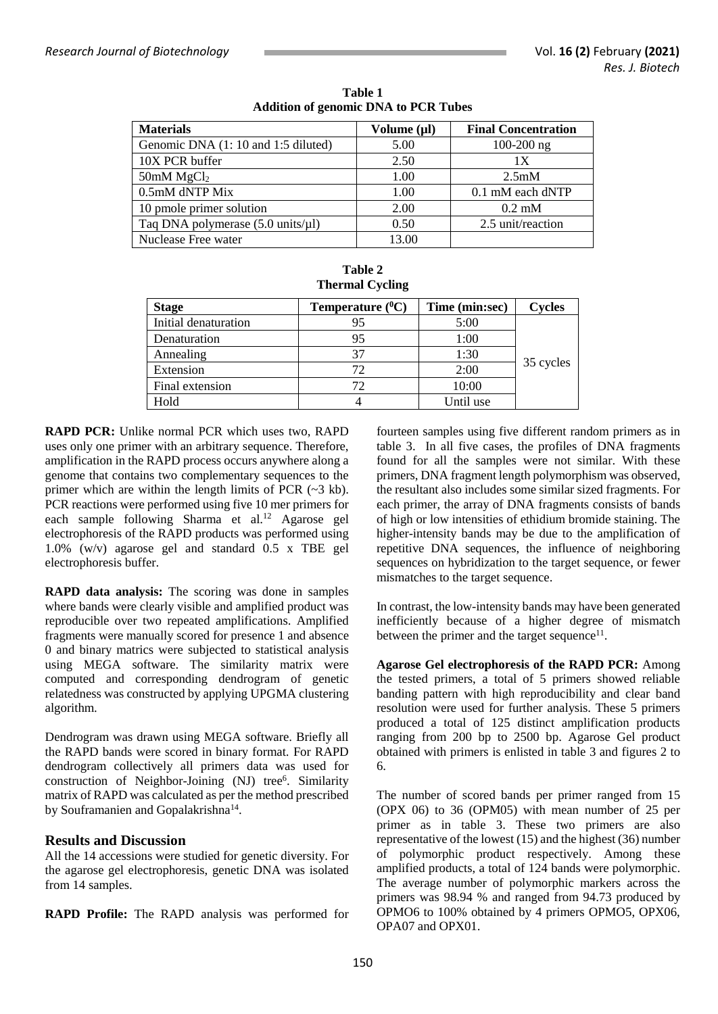| <b>Materials</b>                                     | Volume (µl) | <b>Final Concentration</b> |
|------------------------------------------------------|-------------|----------------------------|
| Genomic DNA (1:10 and 1:5 diluted)                   | 5.00        | $100-200$ ng               |
| 10X PCR buffer                                       | 2.50        | 1 X                        |
| 50mM $MgCl2$                                         | 1.00        | 2.5mM                      |
| 0.5mM dNTP Mix                                       | 1.00        | 0.1 mM each dNTP           |
| 10 pmole primer solution                             | 2.00        | $0.2 \text{ mM}$           |
| Taq DNA polymerase $(5.0 \text{ units/}\mu\text{l})$ | 0.50        | 2.5 unit/reaction          |
| Nuclease Free water                                  | 13.00       |                            |

**Table 2**

**Table 1 Addition of genomic DNA to PCR Tubes**

| <b>Thermal Cycling</b> |                       |                |           |  |  |  |  |  |  |
|------------------------|-----------------------|----------------|-----------|--|--|--|--|--|--|
| <b>Stage</b>           | Temperature $(^{0}C)$ | Time (min:sec) | Cycles    |  |  |  |  |  |  |
| Initial denaturation   | 95                    | 5:00           |           |  |  |  |  |  |  |
| Denaturation           | 95                    | 1:00           |           |  |  |  |  |  |  |
| Annealing              | 37                    | 1:30           |           |  |  |  |  |  |  |
| Extension              | 72.                   | 2:00           | 35 cycles |  |  |  |  |  |  |
| Final extension        | 72                    | 10:00          |           |  |  |  |  |  |  |
| Hold                   |                       | Until use      |           |  |  |  |  |  |  |

**RAPD PCR:** Unlike normal PCR which uses two, RAPD uses only one primer with an arbitrary sequence. Therefore, amplification in the RAPD process occurs anywhere along a genome that contains two complementary sequences to the primer which are within the length limits of PCR (~3 kb). PCR reactions were performed using five 10 mer primers for each sample following Sharma et al.<sup>12</sup> Agarose gel electrophoresis of the RAPD products was performed using 1.0% (w/v) agarose gel and standard 0.5 x TBE gel electrophoresis buffer.

**RAPD data analysis:** The scoring was done in samples where bands were clearly visible and amplified product was reproducible over two repeated amplifications. Amplified fragments were manually scored for presence 1 and absence 0 and binary matrics were subjected to statistical analysis using MEGA software. The similarity matrix were computed and corresponding dendrogram of genetic relatedness was constructed by applying UPGMA clustering algorithm.

Dendrogram was drawn using MEGA software. Briefly all the RAPD bands were scored in binary format. For RAPD dendrogram collectively all primers data was used for construction of Neighbor-Joining (NJ) tree<sup>6</sup>. Similarity matrix of RAPD was calculated as per the method prescribed by Souframanien and Gopalakrishna<sup>14</sup>.

# **Results and Discussion**

All the 14 accessions were studied for genetic diversity. For the agarose gel electrophoresis, genetic DNA was isolated from 14 samples.

**RAPD Profile:** The RAPD analysis was performed for

fourteen samples using five different random primers as in table 3. In all five cases, the profiles of DNA fragments found for all the samples were not similar. With these primers, DNA fragment length polymorphism was observed, the resultant also includes some similar sized fragments. For each primer, the array of DNA fragments consists of bands of high or low intensities of ethidium bromide staining. The higher-intensity bands may be due to the amplification of repetitive DNA sequences, the influence of neighboring sequences on hybridization to the target sequence, or fewer mismatches to the target sequence.

In contrast, the low-intensity bands may have been generated inefficiently because of a higher degree of mismatch between the primer and the target sequence<sup>11</sup>.

**Agarose Gel electrophoresis of the RAPD PCR:** Among the tested primers, a total of 5 primers showed reliable banding pattern with high reproducibility and clear band resolution were used for further analysis. These 5 primers produced a total of 125 distinct amplification products ranging from 200 bp to 2500 bp. Agarose Gel product obtained with primers is enlisted in table 3 and figures 2 to 6.

The number of scored bands per primer ranged from 15 (OPX 06) to 36 (OPM05) with mean number of 25 per primer as in table 3. These two primers are also representative of the lowest (15) and the highest (36) number of polymorphic product respectively. Among these amplified products, a total of 124 bands were polymorphic. The average number of polymorphic markers across the primers was 98.94 % and ranged from 94.73 produced by OPMO6 to 100% obtained by 4 primers OPMO5, OPX06, OPA07 and OPX01.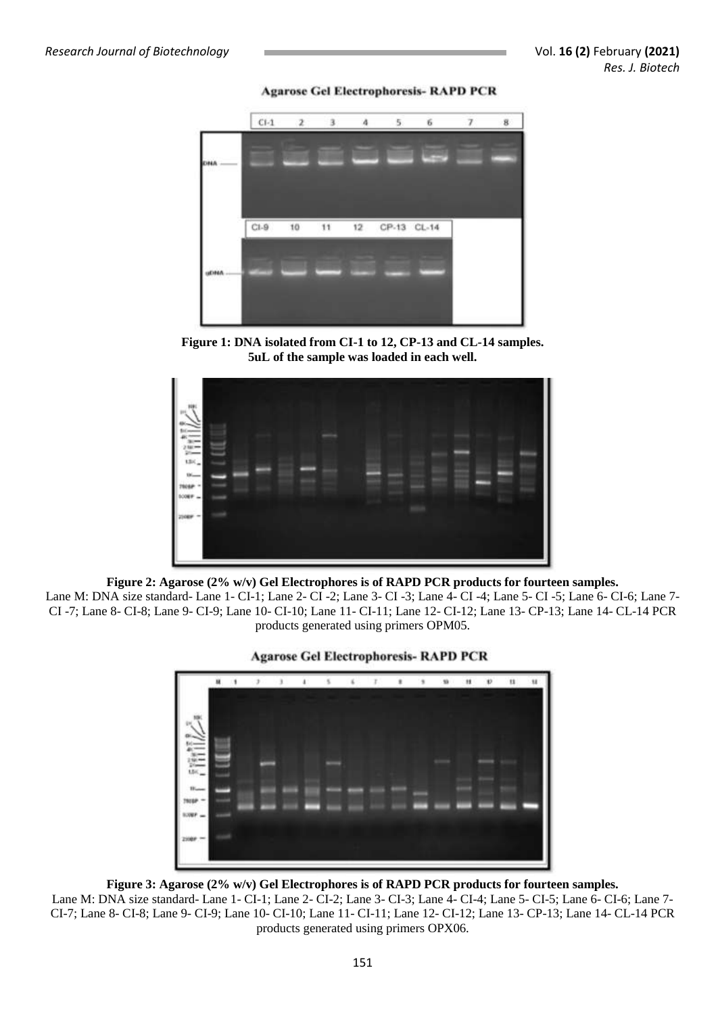**Agarose Gel Electrophoresis- RAPD PCR** 



**Figure 1: DNA isolated from CI-1 to 12, CP-13 and CL-14 samples. 5uL of the sample was loaded in each well.**



**Figure 2: Agarose (2% w/v) Gel Electrophores is of RAPD PCR products for fourteen samples.** Lane M: DNA size standard- Lane 1- CI-1; Lane 2- CI -2; Lane 3- CI -3; Lane 4- CI -4; Lane 5- CI -5; Lane 6- CI-6; Lane 7- CI -7; Lane 8- CI-8; Lane 9- CI-9; Lane 10- CI-10; Lane 11- CI-11; Lane 12- CI-12; Lane 13- CP-13; Lane 14- CL-14 PCR products generated using primers OPM05.



**Agarose Gel Electrophoresis- RAPD PCR** 

**Figure 3: Agarose (2% w/v) Gel Electrophores is of RAPD PCR products for fourteen samples.**

Lane M: DNA size standard- Lane 1- CI-1; Lane 2- CI-2; Lane 3- CI-3; Lane 4- CI-4; Lane 5- CI-5; Lane 6- CI-6; Lane 7- CI-7; Lane 8- CI-8; Lane 9- CI-9; Lane 10- CI-10; Lane 11- CI-11; Lane 12- CI-12; Lane 13- CP-13; Lane 14- CL-14 PCR products generated using primers OPX06.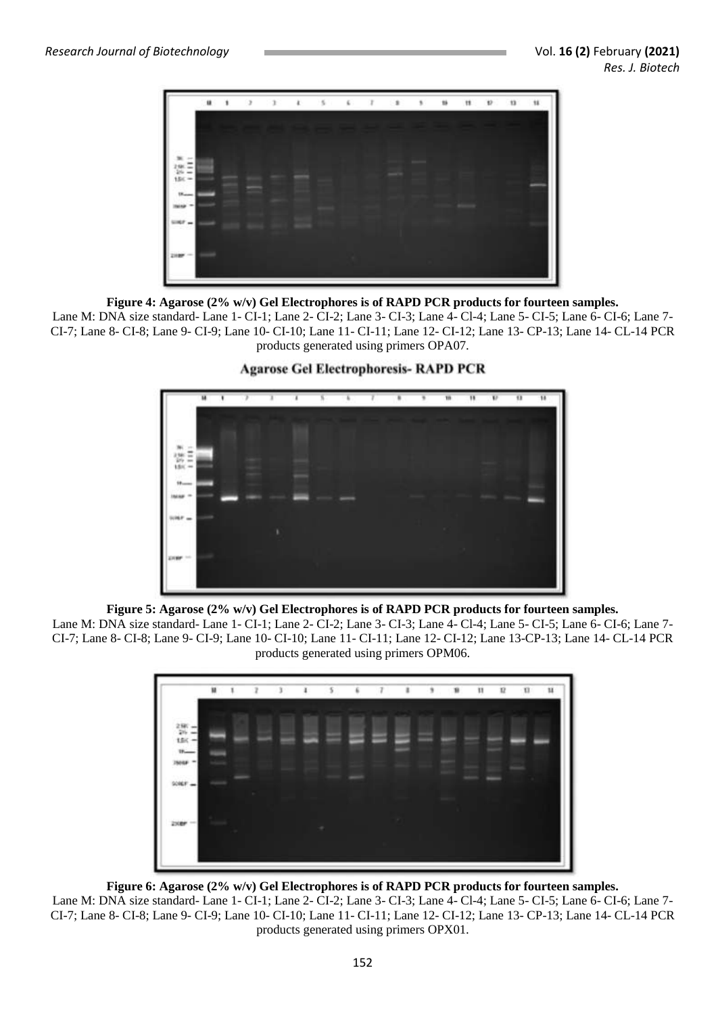

## **Figure 4: Agarose (2% w/v) Gel Electrophores is of RAPD PCR products for fourteen samples.**

Lane M: DNA size standard- Lane 1- CI-1; Lane 2- CI-2; Lane 3- CI-3; Lane 4- Cl-4; Lane 5- CI-5; Lane 6- CI-6; Lane 7- CI-7; Lane 8- CI-8; Lane 9- CI-9; Lane 10- CI-10; Lane 11- CI-11; Lane 12- CI-12; Lane 13- CP-13; Lane 14- CL-14 PCR products generated using primers OPA07.



# **Agarose Gel Electrophoresis- RAPD PCR**

**Figure 5: Agarose (2% w/v) Gel Electrophores is of RAPD PCR products for fourteen samples.**

Lane M: DNA size standard- Lane 1- CI-1; Lane 2- CI-2; Lane 3- CI-3; Lane 4- Cl-4; Lane 5- CI-5; Lane 6- CI-6; Lane 7- CI-7; Lane 8- CI-8; Lane 9- CI-9; Lane 10- CI-10; Lane 11- CI-11; Lane 12- CI-12; Lane 13-CP-13; Lane 14- CL-14 PCR products generated using primers OPM06.



#### **Figure 6: Agarose (2% w/v) Gel Electrophores is of RAPD PCR products for fourteen samples.**

Lane M: DNA size standard- Lane 1- CI-1; Lane 2- CI-2; Lane 3- CI-3; Lane 4- Cl-4; Lane 5- CI-5; Lane 6- CI-6; Lane 7- CI-7; Lane 8- CI-8; Lane 9- CI-9; Lane 10- CI-10; Lane 11- CI-11; Lane 12- CI-12; Lane 13- CP-13; Lane 14- CL-14 PCR products generated using primers OPX01.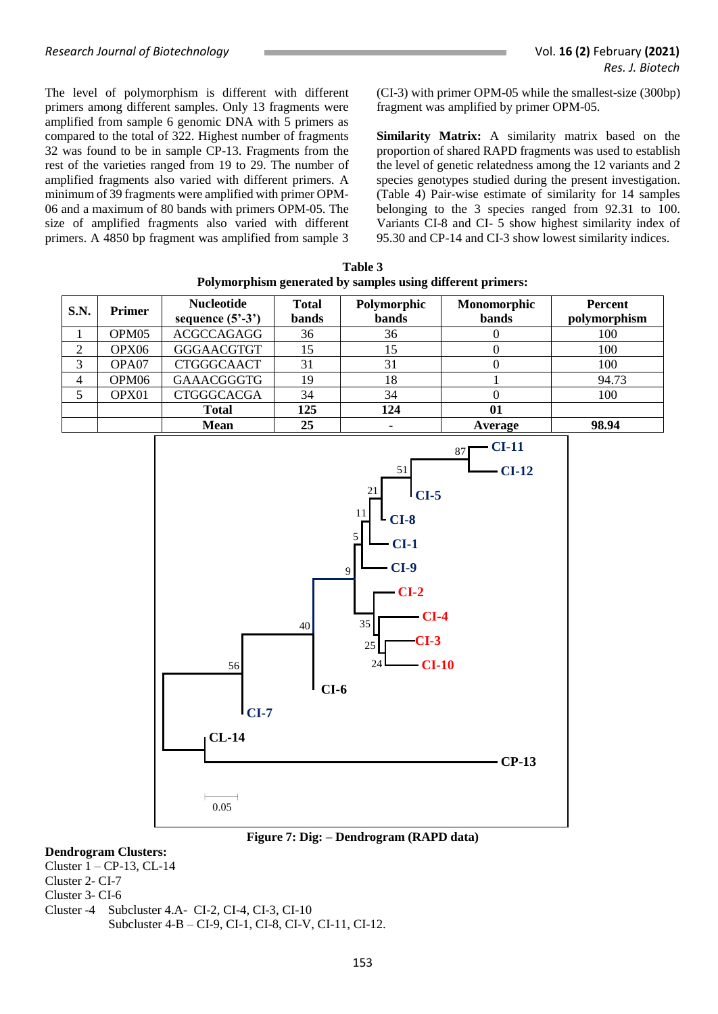The level of polymorphism is different with different primers among different samples. Only 13 fragments were amplified from sample 6 genomic DNA with 5 primers as compared to the total of 322. Highest number of fragments 32 was found to be in sample CP-13. Fragments from the rest of the varieties ranged from 19 to 29. The number of amplified fragments also varied with different primers. A minimum of 39 fragments were amplified with primer OPM-06 and a maximum of 80 bands with primers OPM-05. The size of amplified fragments also varied with different primers. A 4850 bp fragment was amplified from sample 3 (CI-3) with primer OPM-05 while the smallest-size (300bp) fragment was amplified by primer OPM-05.

**Similarity Matrix:** A similarity matrix based on the proportion of shared RAPD fragments was used to establish the level of genetic relatedness among the 12 variants and 2 species genotypes studied during the present investigation. (Table 4) Pair-wise estimate of similarity for 14 samples belonging to the 3 species ranged from 92.31 to 100. Variants CI-8 and CI- 5 show highest similarity index of 95.30 and CP-14 and CI-3 show lowest similarity indices.

| Table 3                                                    |  |  |  |  |  |  |  |  |
|------------------------------------------------------------|--|--|--|--|--|--|--|--|
| Polymorphism generated by samples using different primers: |  |  |  |  |  |  |  |  |

| <b>S.N.</b> | <b>Primer</b>     | <b>Nucleotide</b><br>sequence $(5^3-3^3)$ | <b>Total</b><br>bands | Polymorphic<br>bands | Monomorphic<br>bands | <b>Percent</b><br>polymorphism |  |
|-------------|-------------------|-------------------------------------------|-----------------------|----------------------|----------------------|--------------------------------|--|
|             | OPM <sub>05</sub> | <b>ACGCCAGAGG</b>                         | 36                    | 36                   |                      | 100                            |  |
| 2           | OPX06             | <b>GGGAACGTGT</b>                         | 15                    | 15                   |                      | 100                            |  |
| 3           | OPA07             | <b>CTGGGCAACT</b>                         | 31                    | 31                   |                      | 100                            |  |
| 4           | OPM <sub>06</sub> | <b>GAAACGGGTG</b>                         | 19                    | 18                   |                      | 94.73                          |  |
|             | OPX01             | <b>CTGGGCACGA</b>                         | 34                    | 34                   |                      | 100                            |  |
|             |                   | <b>Total</b>                              | 125                   | 124                  | 01                   |                                |  |
|             |                   | <b>Mean</b>                               | 25                    |                      | Average              | 98.94                          |  |



#### **Figure 7: Dig: – Dendrogram (RAPD data)**

# **Dendrogram Clusters:**

Cluster 1 – CP-13, CL-14 Cluster 2- CI-7 Cluster 3- CI-6 Cluster -4 Subcluster 4.A- CI-2, CI-4, CI-3, CI-10 Subcluster 4-B – CI-9, CI-1, CI-8, CI-V, CI-11, CI-12.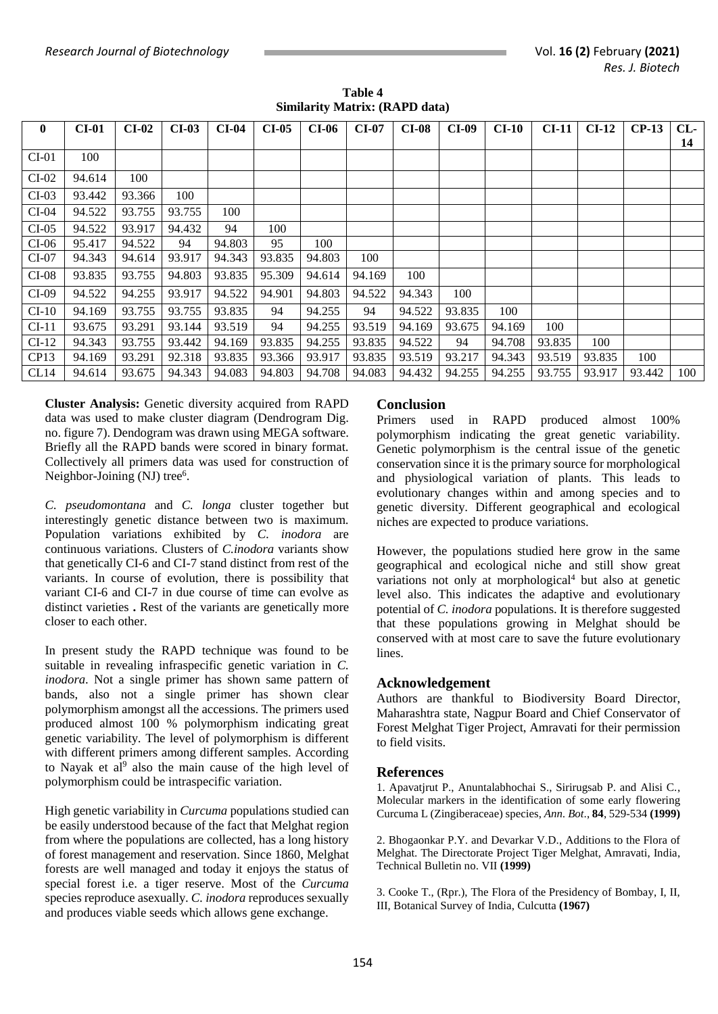| $\bf{0}$ | <b>CI-01</b> | $CI-02$ | $CI-03$ | $CI-04$ | $CI-05$ | <b>CI-06</b> | <b>CI-07</b> | <b>CI-08</b> | <b>CI-09</b> | $CI-10$ | CI-11  | $CI-12$ | $CP-13$ | CL  |
|----------|--------------|---------|---------|---------|---------|--------------|--------------|--------------|--------------|---------|--------|---------|---------|-----|
|          |              |         |         |         |         |              |              |              |              |         |        |         |         |     |
|          |              |         |         |         |         |              |              |              |              |         |        |         |         | 14  |
| $CI-01$  | 100          |         |         |         |         |              |              |              |              |         |        |         |         |     |
| $CI-02$  | 94.614       | 100     |         |         |         |              |              |              |              |         |        |         |         |     |
| $CI-03$  | 93.442       | 93.366  | 100     |         |         |              |              |              |              |         |        |         |         |     |
| $CI-04$  | 94.522       | 93.755  | 93.755  | 100     |         |              |              |              |              |         |        |         |         |     |
| $CI-05$  | 94.522       | 93.917  | 94.432  | 94      | 100     |              |              |              |              |         |        |         |         |     |
| $CI-06$  | 95.417       | 94.522  | 94      | 94.803  | 95      | 100          |              |              |              |         |        |         |         |     |
| $CI-07$  | 94.343       | 94.614  | 93.917  | 94.343  | 93.835  | 94.803       | 100          |              |              |         |        |         |         |     |
| $CI-08$  | 93.835       | 93.755  | 94.803  | 93.835  | 95.309  | 94.614       | 94.169       | 100          |              |         |        |         |         |     |
| $CI-09$  | 94.522       | 94.255  | 93.917  | 94.522  | 94.901  | 94.803       | 94.522       | 94.343       | 100          |         |        |         |         |     |
| $CI-10$  | 94.169       | 93.755  | 93.755  | 93.835  | 94      | 94.255       | 94           | 94.522       | 93.835       | 100     |        |         |         |     |
| $CI-11$  | 93.675       | 93.291  | 93.144  | 93.519  | 94      | 94.255       | 93.519       | 94.169       | 93.675       | 94.169  | 100    |         |         |     |
| $CI-12$  | 94.343       | 93.755  | 93.442  | 94.169  | 93.835  | 94.255       | 93.835       | 94.522       | 94           | 94.708  | 93.835 | 100     |         |     |
| CP13     | 94.169       | 93.291  | 92.318  | 93.835  | 93.366  | 93.917       | 93.835       | 93.519       | 93.217       | 94.343  | 93.519 | 93.835  | 100     |     |
| CL14     | 94.614       | 93.675  | 94.343  | 94.083  | 94.803  | 94.708       | 94.083       | 94.432       | 94.255       | 94.255  | 93.755 | 93.917  | 93.442  | 100 |

**Table 4 Similarity Matrix: (RAPD data)**

**Cluster Analysis:** Genetic diversity acquired from RAPD data was used to make cluster diagram (Dendrogram Dig. no. figure 7). Dendogram was drawn using MEGA software. Briefly all the RAPD bands were scored in binary format. Collectively all primers data was used for construction of Neighbor-Joining (NJ) tree<sup>6</sup>.

*C. pseudomontana* and *C. longa* cluster together but interestingly genetic distance between two is maximum. Population variations exhibited by *C. inodora* are continuous variations. Clusters of *C.inodora* variants show that genetically CI-6 and CI-7 stand distinct from rest of the variants. In course of evolution, there is possibility that variant CI-6 and CI-7 in due course of time can evolve as distinct varieties **.** Rest of the variants are genetically more closer to each other.

In present study the RAPD technique was found to be suitable in revealing infraspecific genetic variation in *C. inodora*. Not a single primer has shown same pattern of bands, also not a single primer has shown clear polymorphism amongst all the accessions. The primers used produced almost 100 % polymorphism indicating great genetic variability. The level of polymorphism is different with different primers among different samples. According to Nayak et al<sup>9</sup> also the main cause of the high level of polymorphism could be intraspecific variation.

High genetic variability in *Curcuma* populations studied can be easily understood because of the fact that Melghat region from where the populations are collected, has a long history of forest management and reservation. Since 1860, Melghat forests are well managed and today it enjoys the status of special forest i.e. a tiger reserve. Most of the *Curcuma* species reproduce asexually. *C. inodora* reproduces sexually and produces viable seeds which allows gene exchange.

## **Conclusion**

Primers used in RAPD produced almost 100% polymorphism indicating the great genetic variability. Genetic polymorphism is the central issue of the genetic conservation since it is the primary source for morphological and physiological variation of plants. This leads to evolutionary changes within and among species and to genetic diversity. Different geographical and ecological niches are expected to produce variations.

However, the populations studied here grow in the same geographical and ecological niche and still show great variations not only at morphological<sup>4</sup> but also at genetic level also. This indicates the adaptive and evolutionary potential of *C. inodora* populations. It is therefore suggested that these populations growing in Melghat should be conserved with at most care to save the future evolutionary lines.

#### **Acknowledgement**

Authors are thankful to Biodiversity Board Director, Maharashtra state, Nagpur Board and Chief Conservator of Forest Melghat Tiger Project, Amravati for their permission to field visits.

#### **References**

1. Apavatjrut P., Anuntalabhochai S., Sirirugsab P. and Alisi C., Molecular markers in the identification of some early flowering Curcuma L (Zingiberaceae) species, *Ann. Bot*., **84**, 529-534 **(1999)**

2. Bhogaonkar P.Y. and Devarkar V.D., Additions to the Flora of Melghat. The Directorate Project Tiger Melghat, Amravati, India, Technical Bulletin no. VII **(1999)**

3. Cooke T., (Rpr.), The Flora of the Presidency of Bombay, I, II, III, Botanical Survey of India, Culcutta **(1967)**